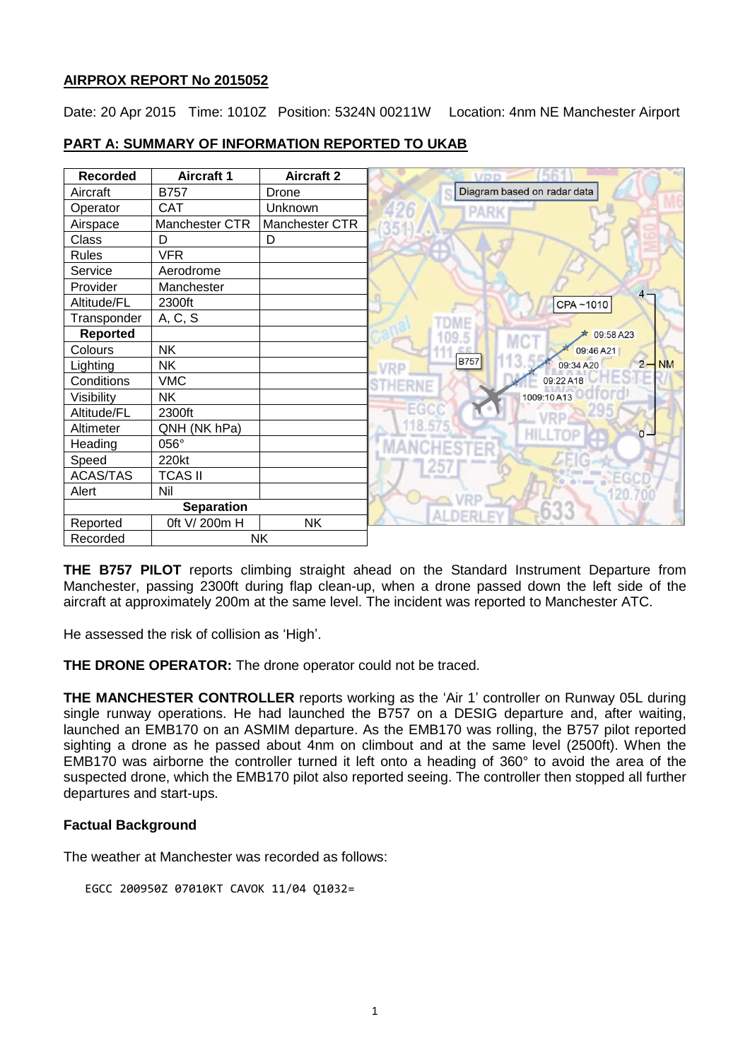### **AIRPROX REPORT No 2015052**

Date: 20 Apr 2015 Time: 1010Z Position: 5324N 00211W Location: 4nm NE Manchester Airport

| <b>Recorded</b>   | <b>Aircraft 1</b> | <b>Aircraft 2</b> | VDD                                            |
|-------------------|-------------------|-------------------|------------------------------------------------|
| Aircraft          | <b>B757</b>       | Drone             | Diagram based on radar data                    |
| Operator          | <b>CAT</b>        | Unknown           | PARI                                           |
| Airspace          | Manchester CTR    | Manchester CTR    |                                                |
| Class             | D                 | D                 |                                                |
| <b>Rules</b>      | <b>VFR</b>        |                   |                                                |
| Service           | Aerodrome         |                   |                                                |
| Provider          | Manchester        |                   | 4.                                             |
| Altitude/FL       | 2300ft            |                   | CPA~1010                                       |
| Transponder       | A, C, S           |                   |                                                |
| <b>Reported</b>   |                   |                   | 09:58 A23<br>MC <sup>.</sup>                   |
| Colours           | <b>NK</b>         |                   | 09:46 A21                                      |
| Lighting          | <b>NK</b>         |                   | <b>B757</b><br><b>NM</b><br>$2 -$<br>09:34 A20 |
| Conditions        | <b>VMC</b>        |                   | 09:22 A18                                      |
| Visibility        | <b>NK</b>         |                   | 1009:10A13                                     |
| Altitude/FL       | 2300ft            |                   | -66                                            |
| Altimeter         | QNH (NK hPa)      |                   | $0 -$                                          |
| Heading           | 056°              |                   |                                                |
| Speed             | 220kt             |                   |                                                |
| <b>ACAS/TAS</b>   | <b>TCAS II</b>    |                   |                                                |
| Alert             | Nil               |                   |                                                |
| <b>Separation</b> |                   |                   |                                                |
| Reported          | 0ft V/ 200m H     | <b>NK</b>         |                                                |
| Recorded          | <b>NK</b>         |                   |                                                |

## **PART A: SUMMARY OF INFORMATION REPORTED TO UKAB**

**THE B757 PILOT** reports climbing straight ahead on the Standard Instrument Departure from Manchester, passing 2300ft during flap clean-up, when a drone passed down the left side of the aircraft at approximately 200m at the same level. The incident was reported to Manchester ATC.

He assessed the risk of collision as 'High'.

**THE DRONE OPERATOR:** The drone operator could not be traced.

**THE MANCHESTER CONTROLLER** reports working as the 'Air 1' controller on Runway 05L during single runway operations. He had launched the B757 on a DESIG departure and, after waiting, launched an EMB170 on an ASMIM departure. As the EMB170 was rolling, the B757 pilot reported sighting a drone as he passed about 4nm on climbout and at the same level (2500ft). When the EMB170 was airborne the controller turned it left onto a heading of 360° to avoid the area of the suspected drone, which the EMB170 pilot also reported seeing. The controller then stopped all further departures and start-ups.

### **Factual Background**

The weather at Manchester was recorded as follows:

```
EGCC 200950Z 07010KT CAVOK 11/04 Q1032=
```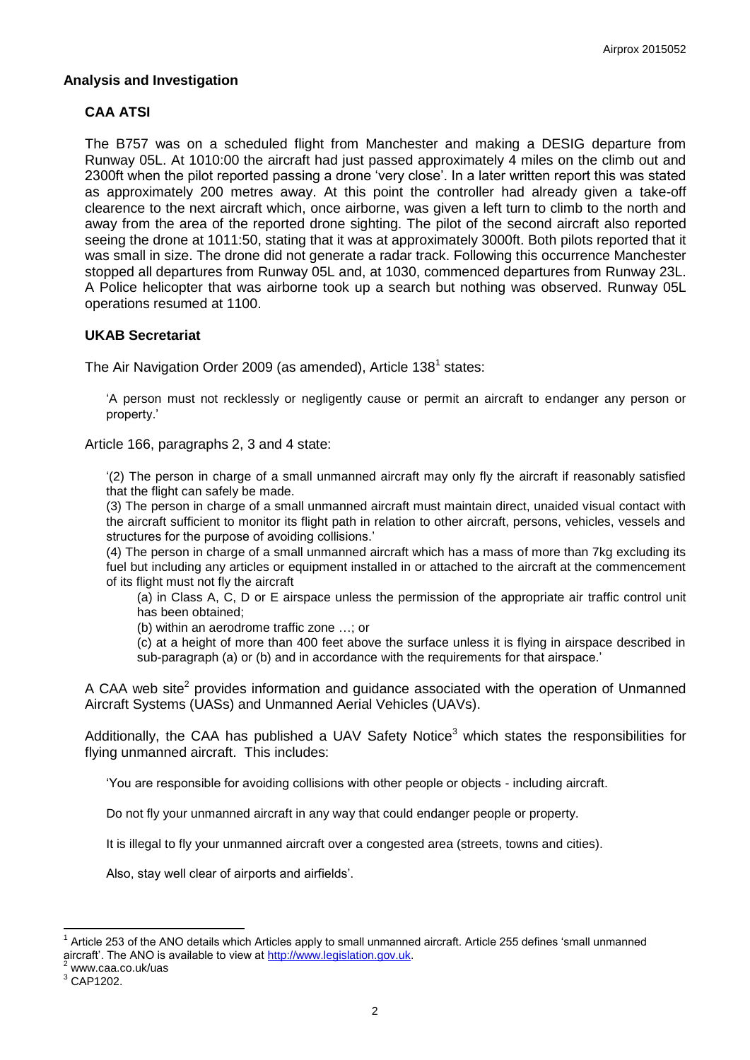### **Analysis and Investigation**

## **CAA ATSI**

The B757 was on a scheduled flight from Manchester and making a DESIG departure from Runway 05L. At 1010:00 the aircraft had just passed approximately 4 miles on the climb out and 2300ft when the pilot reported passing a drone 'very close'. In a later written report this was stated as approximately 200 metres away. At this point the controller had already given a take-off clearence to the next aircraft which, once airborne, was given a left turn to climb to the north and away from the area of the reported drone sighting. The pilot of the second aircraft also reported seeing the drone at 1011:50, stating that it was at approximately 3000ft. Both pilots reported that it was small in size. The drone did not generate a radar track. Following this occurrence Manchester stopped all departures from Runway 05L and, at 1030, commenced departures from Runway 23L. A Police helicopter that was airborne took up a search but nothing was observed. Runway 05L operations resumed at 1100.

### **UKAB Secretariat**

The Air Navigation Order 2009 (as amended), Article 138<sup>1</sup> states:

'A person must not recklessly or negligently cause or permit an aircraft to endanger any person or property.'

Article 166, paragraphs 2, 3 and 4 state:

'(2) The person in charge of a small unmanned aircraft may only fly the aircraft if reasonably satisfied that the flight can safely be made.

(3) The person in charge of a small unmanned aircraft must maintain direct, unaided visual contact with the aircraft sufficient to monitor its flight path in relation to other aircraft, persons, vehicles, vessels and structures for the purpose of avoiding collisions.'

(4) The person in charge of a small unmanned aircraft which has a mass of more than 7kg excluding its fuel but including any articles or equipment installed in or attached to the aircraft at the commencement of its flight must not fly the aircraft

(a) in Class A, C, D or E airspace unless the permission of the appropriate air traffic control unit has been obtained;

(b) within an aerodrome traffic zone …; or

(c) at a height of more than 400 feet above the surface unless it is flying in airspace described in sub-paragraph (a) or (b) and in accordance with the requirements for that airspace.'

A CAA web site<sup>2</sup> provides information and guidance associated with the operation of Unmanned Aircraft Systems (UASs) and Unmanned Aerial Vehicles (UAVs).

Additionally, the CAA has published a UAV Safety Notice<sup>3</sup> which states the responsibilities for flying unmanned aircraft. This includes:

'You are responsible for avoiding collisions with other people or objects - including aircraft.

Do not fly your unmanned aircraft in any way that could endanger people or property.

It is illegal to fly your unmanned aircraft over a congested area (streets, towns and cities).

Also, stay well clear of airports and airfields'.

 $\overline{a}$ 

<sup>1</sup> Article 253 of the ANO details which Articles apply to small unmanned aircraft. Article 255 defines 'small unmanned aircraft'. The ANO is available to view at [http://www.legislation.gov.uk.](http://www.legislation.gov.uk/)

www.caa.co.uk/uas

<sup>3</sup> CAP1202.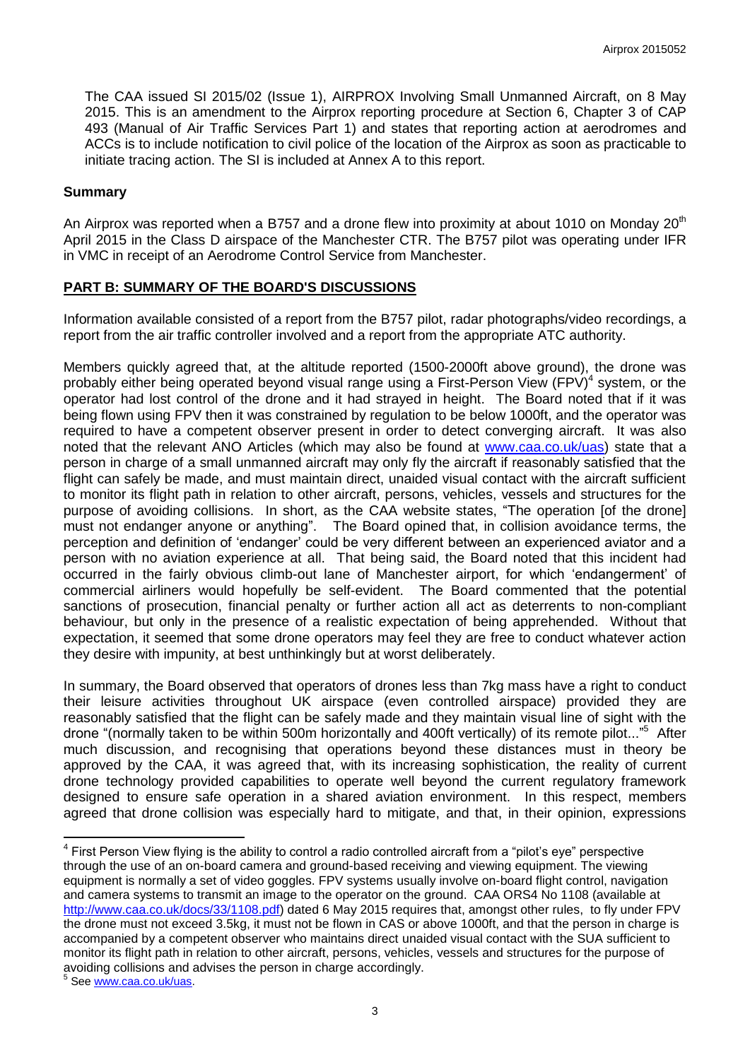The CAA issued SI 2015/02 (Issue 1), AIRPROX Involving Small Unmanned Aircraft, on 8 May 2015. This is an amendment to the Airprox reporting procedure at Section 6, Chapter 3 of CAP 493 (Manual of Air Traffic Services Part 1) and states that reporting action at aerodromes and ACCs is to include notification to civil police of the location of the Airprox as soon as practicable to initiate tracing action. The SI is included at Annex A to this report.

### **Summary**

An Airprox was reported when a B757 and a drone flew into proximity at about 1010 on Monday 20<sup>th</sup> April 2015 in the Class D airspace of the Manchester CTR. The B757 pilot was operating under IFR in VMC in receipt of an Aerodrome Control Service from Manchester.

### **PART B: SUMMARY OF THE BOARD'S DISCUSSIONS**

Information available consisted of a report from the B757 pilot, radar photographs/video recordings, a report from the air traffic controller involved and a report from the appropriate ATC authority.

Members quickly agreed that, at the altitude reported (1500-2000ft above ground), the drone was probably either being operated beyond visual range using a First-Person View (FPV)<sup>4</sup> system, or the operator had lost control of the drone and it had strayed in height. The Board noted that if it was being flown using FPV then it was constrained by regulation to be below 1000ft, and the operator was required to have a competent observer present in order to detect converging aircraft. It was also noted that the relevant ANO Articles (which may also be found at [www.caa.co.uk/uas\)](http://www.caa.co.uk/uas) state that a person in charge of a small unmanned aircraft may only fly the aircraft if reasonably satisfied that the flight can safely be made, and must maintain direct, unaided visual contact with the aircraft sufficient to monitor its flight path in relation to other aircraft, persons, vehicles, vessels and structures for the purpose of avoiding collisions. In short, as the CAA website states, "The operation [of the drone] must not endanger anyone or anything". The Board opined that, in collision avoidance terms, the perception and definition of 'endanger' could be very different between an experienced aviator and a person with no aviation experience at all. That being said, the Board noted that this incident had occurred in the fairly obvious climb-out lane of Manchester airport, for which 'endangerment' of commercial airliners would hopefully be self-evident. The Board commented that the potential sanctions of prosecution, financial penalty or further action all act as deterrents to non-compliant behaviour, but only in the presence of a realistic expectation of being apprehended. Without that expectation, it seemed that some drone operators may feel they are free to conduct whatever action they desire with impunity, at best unthinkingly but at worst deliberately.

In summary, the Board observed that operators of drones less than 7kg mass have a right to conduct their leisure activities throughout UK airspace (even controlled airspace) provided they are reasonably satisfied that the flight can be safely made and they maintain visual line of sight with the drone "(normally taken to be within 500m horizontally and 400ft vertically) of its remote pilot..."<sup>5</sup> After much discussion, and recognising that operations beyond these distances must in theory be approved by the CAA, it was agreed that, with its increasing sophistication, the reality of current drone technology provided capabilities to operate well beyond the current regulatory framework designed to ensure safe operation in a shared aviation environment. In this respect, members agreed that drone collision was especially hard to mitigate, and that, in their opinion, expressions

 $\overline{a}$ <sup>4</sup> First Person View flying is the ability to control a radio controlled aircraft from a "pilot's eye" perspective through the use of an on-board camera and ground-based receiving and viewing equipment. The viewing equipment is normally a set of video goggles. FPV systems usually involve on-board flight control, navigation and camera systems to transmit an image to the operator on the ground. CAA ORS4 No 1108 (available at [http://www.caa.co.uk/docs/33/1108.pdf\)](http://www.caa.co.uk/docs/33/1108.pdf) dated 6 May 2015 requires that, amongst other rules, to fly under FPV the drone must not exceed 3.5kg, it must not be flown in CAS or above 1000ft, and that the person in charge is accompanied by a competent observer who maintains direct unaided visual contact with the SUA sufficient to monitor its flight path in relation to other aircraft, persons, vehicles, vessels and structures for the purpose of avoiding collisions and advises the person in charge accordingly.

<sup>&</sup>lt;sup>5</sup> See <u>www.caa.co.uk/uas</u>.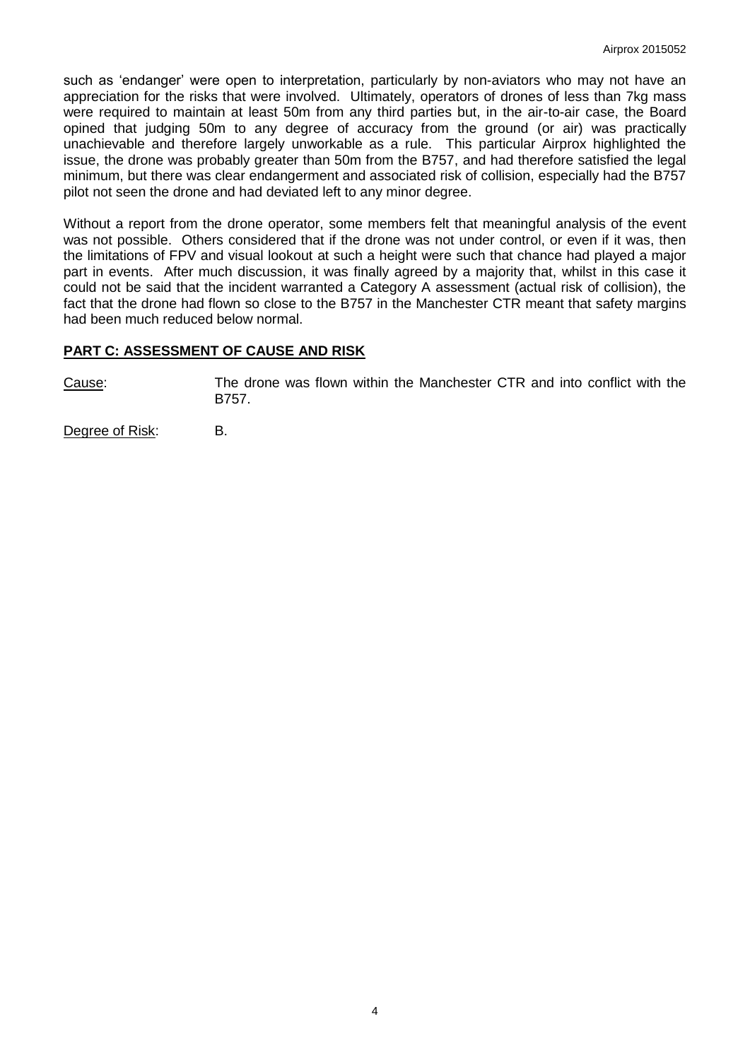such as 'endanger' were open to interpretation, particularly by non-aviators who may not have an appreciation for the risks that were involved. Ultimately, operators of drones of less than 7kg mass were required to maintain at least 50m from any third parties but, in the air-to-air case, the Board opined that judging 50m to any degree of accuracy from the ground (or air) was practically unachievable and therefore largely unworkable as a rule. This particular Airprox highlighted the issue, the drone was probably greater than 50m from the B757, and had therefore satisfied the legal minimum, but there was clear endangerment and associated risk of collision, especially had the B757 pilot not seen the drone and had deviated left to any minor degree.

Without a report from the drone operator, some members felt that meaningful analysis of the event was not possible. Others considered that if the drone was not under control, or even if it was, then the limitations of FPV and visual lookout at such a height were such that chance had played a major part in events. After much discussion, it was finally agreed by a majority that, whilst in this case it could not be said that the incident warranted a Category A assessment (actual risk of collision), the fact that the drone had flown so close to the B757 in the Manchester CTR meant that safety margins had been much reduced below normal.

### **PART C: ASSESSMENT OF CAUSE AND RISK**

Cause: The drone was flown within the Manchester CTR and into conflict with the B757.

Degree of Risk: B.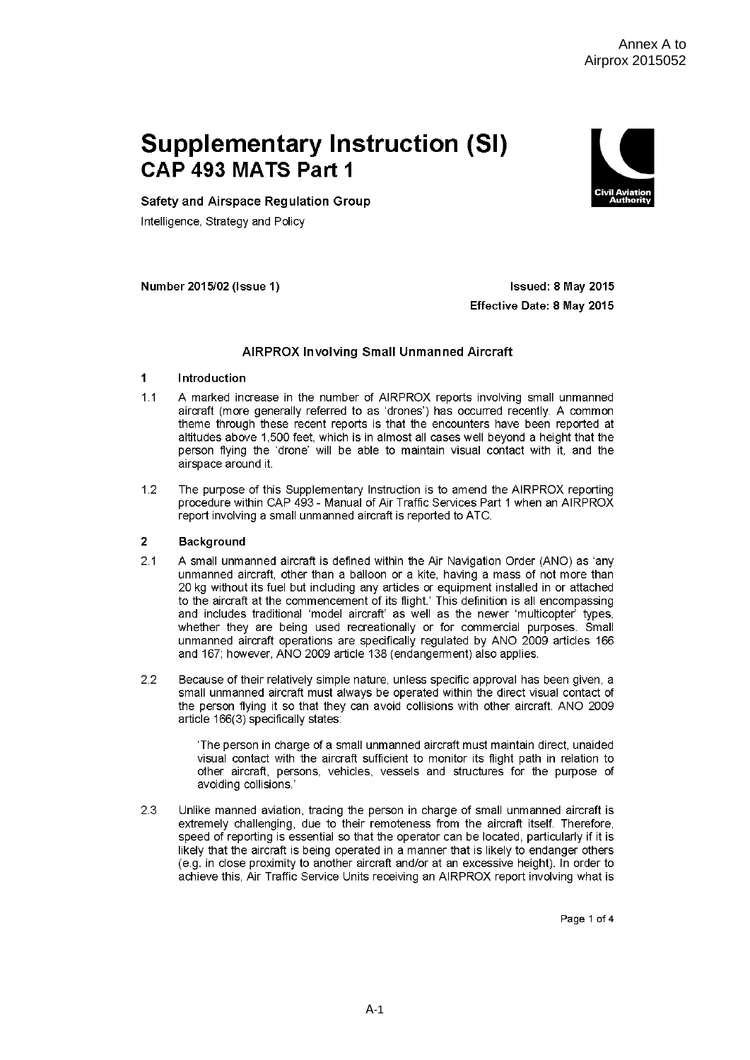# **Supplementary Instruction (SI)** CAP 493 MATS Part 1



Safety and Airspace Regulation Group

Intelligence, Strategy and Policy

Number 2015/02 (Issue 1)

Issued: 8 May 2015 Effective Date: 8 May 2015

### **AIRPROX Involving Small Unmanned Aircraft**

#### $\overline{1}$ Introduction

- $11$ A marked increase in the number of AIRPROX reports involving small unmanned aircraft (more generally referred to as 'drones') has occurred recently. A common theme through these recent reports is that the encounters have been reported at altitudes above 1,500 feet, which is in almost all cases well beyond a height that the person flying the 'drone' will be able to maintain visual contact with it, and the airspace around it.
- $1.2$ The purpose of this Supplementary Instruction is to amend the AIRPROX reporting procedure within CAP 493 - Manual of Air Traffic Services Part 1 when an AIRPROX report involving a small unmanned aircraft is reported to ATC.

#### **Background**  $\overline{2}$

- $2.1$ A small unmanned aircraft is defined within the Air Navigation Order (ANO) as 'any unmanned aircraft, other than a balloon or a kite, having a mass of not more than 20 kg without its fuel but including any articles or equipment installed in or attached to the aircraft at the commencement of its flight.' This definition is all encompassing and includes traditional 'model aircraft' as well as the newer 'multicopter' types, whether they are being used recreationally or for commercial purposes. Small unmanned aircraft operations are specifically regulated by ANO 2009 articles 166 and 167; however, ANO 2009 article 138 (endangerment) also applies.
- Because of their relatively simple nature, unless specific approval has been given, a  $2.2$ small unmanned aircraft must always be operated within the direct visual contact of the person flying it so that they can avoid collisions with other aircraft. ANO 2009 article 166(3) specifically states:

'The person in charge of a small unmanned aircraft must maintain direct, unaided visual contact with the aircraft sufficient to monitor its flight path in relation to other aircraft, persons, vehicles, vessels and structures for the purpose of avoiding collisions.'

23 Unlike manned aviation, tracing the person in charge of small unmanned aircraft is extremely challenging, due to their remoteness from the aircraft itself. Therefore, speed of reporting is essential so that the operator can be located, particularly if it is likely that the aircraft is being operated in a manner that is likely to endanger others (e.g. in close proximity to another aircraft and/or at an excessive height). In order to achieve this, Air Traffic Service Units receiving an AIRPROX report involving what is

Page 1 of 4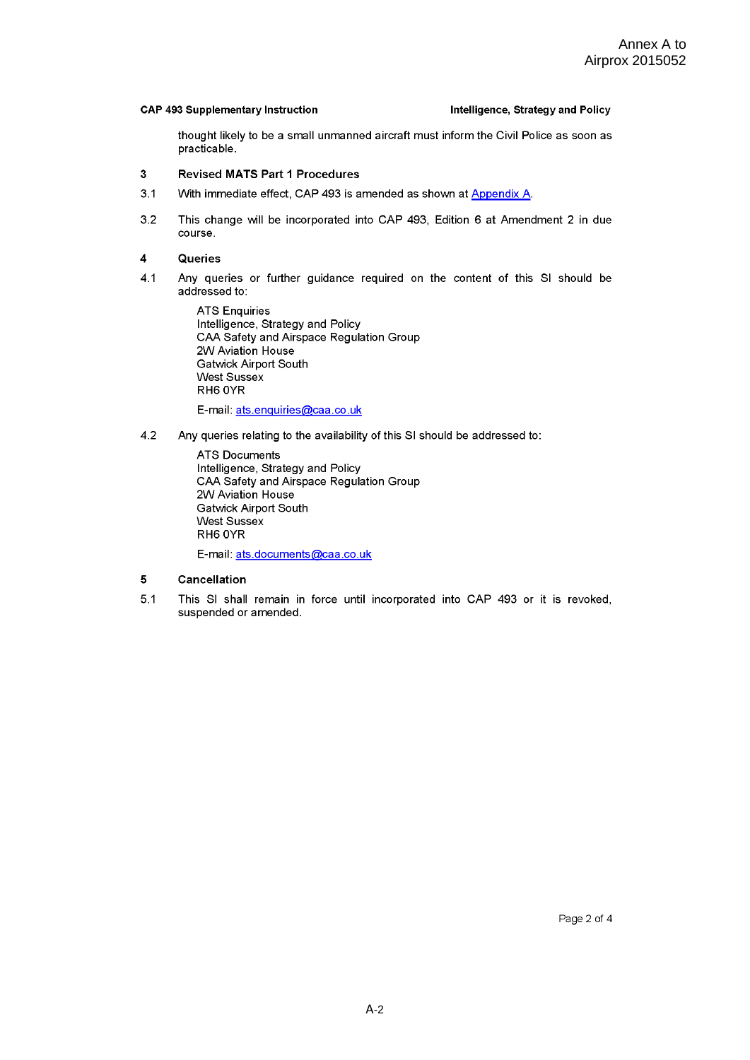### **CAP 493 Supplementary Instruction**

### Intelligence, Strategy and Policy

thought likely to be a small unmanned aircraft must inform the Civil Police as soon as practicable.

#### $\overline{3}$ **Revised MATS Part 1 Procedures**

- $3.1$ With immediate effect, CAP 493 is amended as shown at Appendix A.
- $3.2$ This change will be incorporated into CAP 493, Edition 6 at Amendment 2 in due course.

#### $\overline{\mathbf{4}}$ Queries

 $4.1$ Any queries or further guidance required on the content of this SI should be addressed to:

> **ATS Enquiries** Intelligence, Strategy and Policy CAA Safety and Airspace Regulation Group 2W Aviation House **Gatwick Airport South West Sussex** RH6 OYR E-mail: ats.enquiries@caa.co.uk

 $4.2$ Any queries relating to the availability of this SI should be addressed to:

> **ATS Documents** Intelligence, Strategy and Policy CAA Safety and Airspace Regulation Group 2W Aviation House **Gatwick Airport South** West Sussex RH6 OYR

E-mail: ats.documents@caa.co.uk

#### $\overline{\mathbf{5}}$ Cancellation

 $5.1$ This SI shall remain in force until incorporated into CAP 493 or it is revoked, suspended or amended.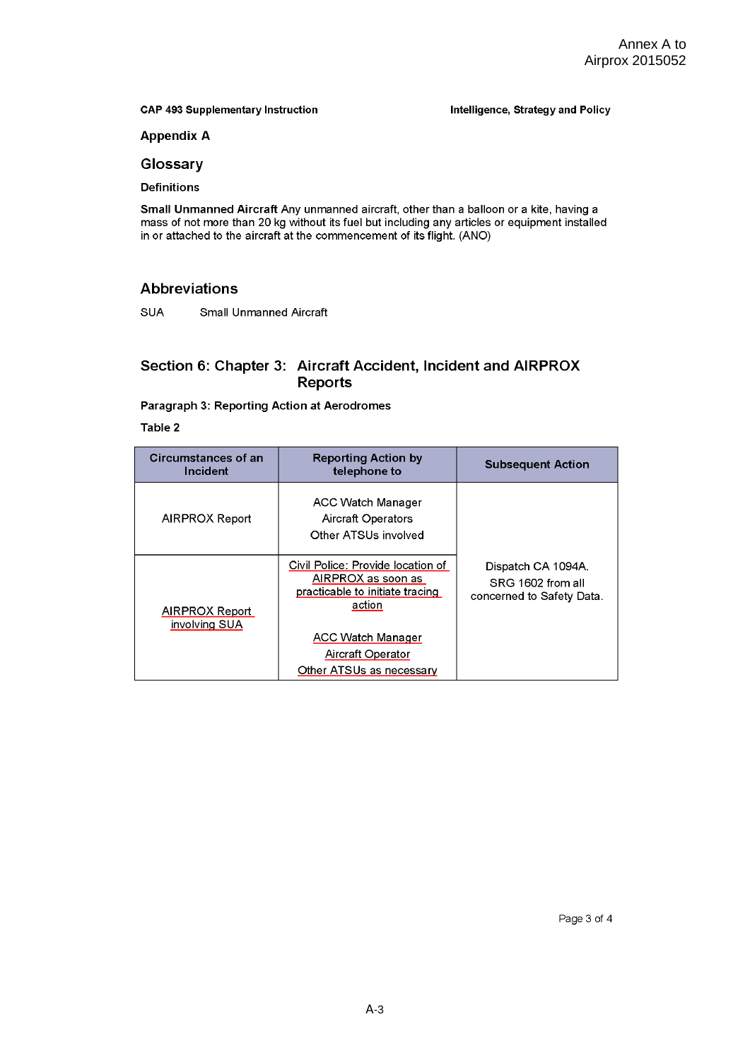**CAP 493 Supplementary Instruction** 

Intelligence, Strategy and Policy

**Appendix A** 

Glossary

**Definitions** 

Small Unmanned Aircraft Any unmanned aircraft, other than a balloon or a kite, having a mass of not more than 20 kg without its fuel but including any articles or equipment installed in or attached to the aircraft at the commencement of its flight. (ANO)

### **Abbreviations**

**SUA Small Unmanned Aircraft** 

### Section 6: Chapter 3: Aircraft Accident, Incident and AIRPROX **Reports**

### Paragraph 3: Reporting Action at Aerodromes

Table 2

| Circumstances of an<br>Incident | <b>Reporting Action by</b><br>telephone to                                                                                                            | <b>Subsequent Action</b>                                             |
|---------------------------------|-------------------------------------------------------------------------------------------------------------------------------------------------------|----------------------------------------------------------------------|
| AIRPROX Report                  | <b>ACC Watch Manager</b><br>Aircraft Operators<br>Other ATSUs involved                                                                                |                                                                      |
| AIRPROX Report<br>involving SUA | Civil Police: Provide location of<br>AIRPROX as soon as<br>practicable to initiate tracing<br>action<br><b>ACC Watch Manager</b><br>Aircraft Operator | Dispatch CA 1094A.<br>SRG 1602 from all<br>concerned to Safety Data. |
|                                 | Other ATSUs as necessary                                                                                                                              |                                                                      |

Page 3 of 4